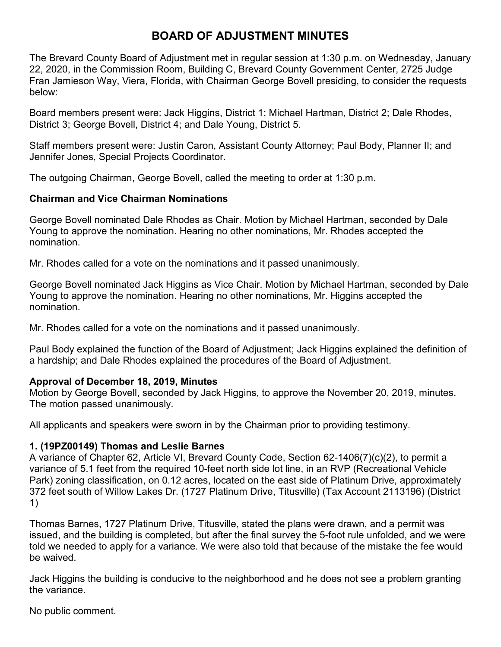# **BOARD OF ADJUSTMENT MINUTES**

The Brevard County Board of Adjustment met in regular session at 1:30 p.m. on Wednesday, January 22, 2020, in the Commission Room, Building C, Brevard County Government Center, 2725 Judge Fran Jamieson Way, Viera, Florida, with Chairman George Bovell presiding, to consider the requests below:

Board members present were: Jack Higgins, District 1; Michael Hartman, District 2; Dale Rhodes, District 3; George Bovell, District 4; and Dale Young, District 5.

Staff members present were: Justin Caron, Assistant County Attorney; Paul Body, Planner II; and Jennifer Jones, Special Projects Coordinator.

The outgoing Chairman, George Bovell, called the meeting to order at 1:30 p.m.

# **Chairman and Vice Chairman Nominations**

George Bovell nominated Dale Rhodes as Chair. Motion by Michael Hartman, seconded by Dale Young to approve the nomination. Hearing no other nominations, Mr. Rhodes accepted the nomination.

Mr. Rhodes called for a vote on the nominations and it passed unanimously.

George Bovell nominated Jack Higgins as Vice Chair. Motion by Michael Hartman, seconded by Dale Young to approve the nomination. Hearing no other nominations, Mr. Higgins accepted the nomination.

Mr. Rhodes called for a vote on the nominations and it passed unanimously.

Paul Body explained the function of the Board of Adjustment; Jack Higgins explained the definition of a hardship; and Dale Rhodes explained the procedures of the Board of Adjustment.

# **Approval of December 18, 2019, Minutes**

Motion by George Bovell, seconded by Jack Higgins, to approve the November 20, 2019, minutes. The motion passed unanimously.

All applicants and speakers were sworn in by the Chairman prior to providing testimony.

# **1. (19PZ00149) Thomas and Leslie Barnes**

A variance of Chapter 62, Article VI, Brevard County Code, Section 62-1406(7)(c)(2), to permit a variance of 5.1 feet from the required 10-feet north side lot line, in an RVP (Recreational Vehicle Park) zoning classification, on 0.12 acres, located on the east side of Platinum Drive, approximately 372 feet south of Willow Lakes Dr. (1727 Platinum Drive, Titusville) (Tax Account 2113196) (District 1)

Thomas Barnes, 1727 Platinum Drive, Titusville, stated the plans were drawn, and a permit was issued, and the building is completed, but after the final survey the 5-foot rule unfolded, and we were told we needed to apply for a variance. We were also told that because of the mistake the fee would be waived.

Jack Higgins the building is conducive to the neighborhood and he does not see a problem granting the variance.

No public comment.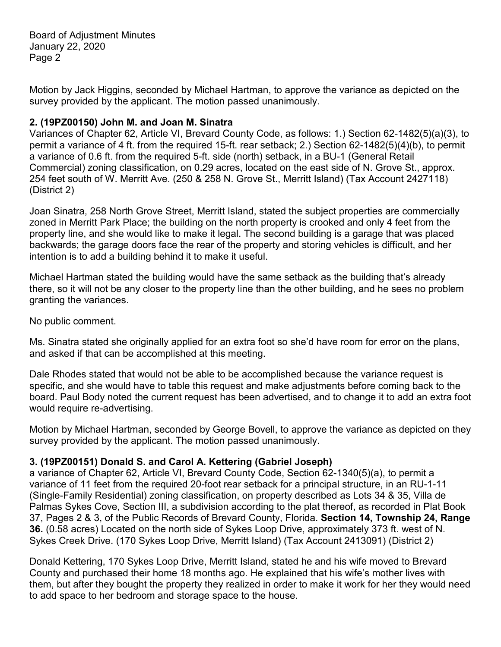Board of Adjustment Minutes January 22, 2020 Page 2

Motion by Jack Higgins, seconded by Michael Hartman, to approve the variance as depicted on the survey provided by the applicant. The motion passed unanimously.

### **2. (19PZ00150) John M. and Joan M. Sinatra**

Variances of Chapter 62, Article VI, Brevard County Code, as follows: 1.) Section 62-1482(5)(a)(3), to permit a variance of 4 ft. from the required 15-ft. rear setback; 2.) Section 62-1482(5)(4)(b), to permit a variance of 0.6 ft. from the required 5-ft. side (north) setback, in a BU-1 (General Retail Commercial) zoning classification, on 0.29 acres, located on the east side of N. Grove St., approx. 254 feet south of W. Merritt Ave. (250 & 258 N. Grove St., Merritt Island) (Tax Account 2427118) (District 2)

Joan Sinatra, 258 North Grove Street, Merritt Island, stated the subject properties are commercially zoned in Merritt Park Place; the building on the north property is crooked and only 4 feet from the property line, and she would like to make it legal. The second building is a garage that was placed backwards; the garage doors face the rear of the property and storing vehicles is difficult, and her intention is to add a building behind it to make it useful.

Michael Hartman stated the building would have the same setback as the building that's already there, so it will not be any closer to the property line than the other building, and he sees no problem granting the variances.

No public comment.

Ms. Sinatra stated she originally applied for an extra foot so she'd have room for error on the plans, and asked if that can be accomplished at this meeting.

Dale Rhodes stated that would not be able to be accomplished because the variance request is specific, and she would have to table this request and make adjustments before coming back to the board. Paul Body noted the current request has been advertised, and to change it to add an extra foot would require re-advertising.

Motion by Michael Hartman, seconded by George Bovell, to approve the variance as depicted on they survey provided by the applicant. The motion passed unanimously.

# **3. (19PZ00151) Donald S. and Carol A. Kettering (Gabriel Joseph)**

a variance of Chapter 62, Article VI, Brevard County Code, Section 62-1340(5)(a), to permit a variance of 11 feet from the required 20-foot rear setback for a principal structure, in an RU-1-11 (Single-Family Residential) zoning classification, on property described as Lots 34 & 35, Villa de Palmas Sykes Cove, Section III, a subdivision according to the plat thereof, as recorded in Plat Book 37, Pages 2 & 3, of the Public Records of Brevard County, Florida. **Section 14, Township 24, Range 36.** (0.58 acres) Located on the north side of Sykes Loop Drive, approximately 373 ft. west of N. Sykes Creek Drive. (170 Sykes Loop Drive, Merritt Island) (Tax Account 2413091) (District 2)

Donald Kettering, 170 Sykes Loop Drive, Merritt Island, stated he and his wife moved to Brevard County and purchased their home 18 months ago. He explained that his wife's mother lives with them, but after they bought the property they realized in order to make it work for her they would need to add space to her bedroom and storage space to the house.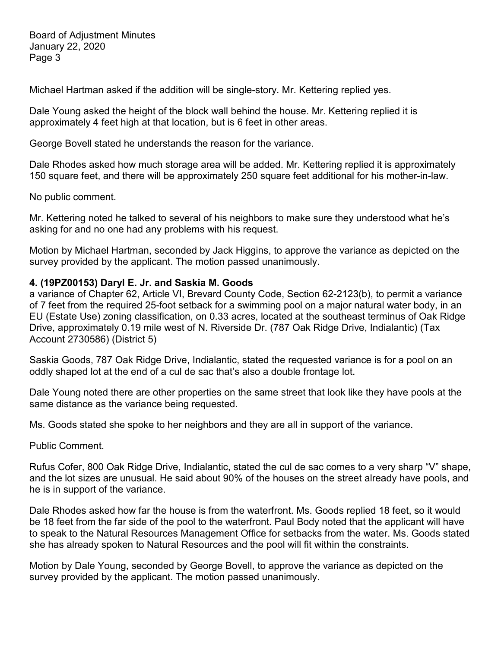Board of Adjustment Minutes January 22, 2020 Page 3

Michael Hartman asked if the addition will be single-story. Mr. Kettering replied yes.

Dale Young asked the height of the block wall behind the house. Mr. Kettering replied it is approximately 4 feet high at that location, but is 6 feet in other areas.

George Bovell stated he understands the reason for the variance.

Dale Rhodes asked how much storage area will be added. Mr. Kettering replied it is approximately 150 square feet, and there will be approximately 250 square feet additional for his mother-in-law.

No public comment.

Mr. Kettering noted he talked to several of his neighbors to make sure they understood what he's asking for and no one had any problems with his request.

Motion by Michael Hartman, seconded by Jack Higgins, to approve the variance as depicted on the survey provided by the applicant. The motion passed unanimously.

#### **4. (19PZ00153) Daryl E. Jr. and Saskia M. Goods**

a variance of Chapter 62, Article VI, Brevard County Code, Section 62-2123(b), to permit a variance of 7 feet from the required 25-foot setback for a swimming pool on a major natural water body, in an EU (Estate Use) zoning classification, on 0.33 acres, located at the southeast terminus of Oak Ridge Drive, approximately 0.19 mile west of N. Riverside Dr. (787 Oak Ridge Drive, Indialantic) (Tax Account 2730586) (District 5)

Saskia Goods, 787 Oak Ridge Drive, Indialantic, stated the requested variance is for a pool on an oddly shaped lot at the end of a cul de sac that's also a double frontage lot.

Dale Young noted there are other properties on the same street that look like they have pools at the same distance as the variance being requested.

Ms. Goods stated she spoke to her neighbors and they are all in support of the variance.

Public Comment.

Rufus Cofer, 800 Oak Ridge Drive, Indialantic, stated the cul de sac comes to a very sharp "V" shape, and the lot sizes are unusual. He said about 90% of the houses on the street already have pools, and he is in support of the variance.

Dale Rhodes asked how far the house is from the waterfront. Ms. Goods replied 18 feet, so it would be 18 feet from the far side of the pool to the waterfront. Paul Body noted that the applicant will have to speak to the Natural Resources Management Office for setbacks from the water. Ms. Goods stated she has already spoken to Natural Resources and the pool will fit within the constraints.

Motion by Dale Young, seconded by George Bovell, to approve the variance as depicted on the survey provided by the applicant. The motion passed unanimously.